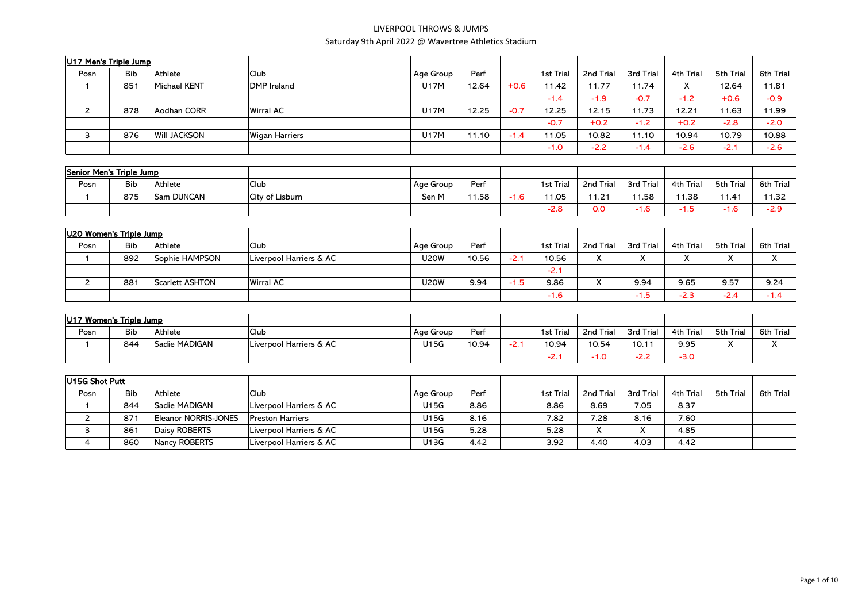| U17 Men's Triple Jump    |            |                        |                         |             |       |        |           |                           |           |           |           |                  |
|--------------------------|------------|------------------------|-------------------------|-------------|-------|--------|-----------|---------------------------|-----------|-----------|-----------|------------------|
| Posn                     | <b>Bib</b> | Athlete                | Club                    | Age Group   | Perf  |        | 1st Trial | 2nd Trial                 | 3rd Trial | 4th Trial | 5th Trial | 6th Trial        |
| $\mathbf{1}$             | 851        | <b>Michael KENT</b>    | DMP Ireland             | <b>U17M</b> | 12.64 | $+0.6$ | 11.42     | 11.77                     | 11.74     | X         | 12.64     | 11.81            |
|                          |            |                        |                         |             |       |        | $-1.4$    | $-1.9$                    | $-0.7$    | $-1.2$    | $+0.6$    | $-0.9$           |
| $\overline{2}$           | 878        | Aodhan CORR            | Wirral AC               | <b>U17M</b> | 12.25 | $-0.7$ | 12.25     | 12.15                     | 11.73     | 12.21     | 11.63     | 11.99            |
|                          |            |                        |                         |             |       |        | $-0.7$    | $+0.2$                    | $-1.2$    | $+0.2$    | $-2.8$    | $-2.0$           |
| 3                        | 876        | <b>Will JACKSON</b>    | <b>Wigan Harriers</b>   | <b>U17M</b> | 11.10 | $-1.4$ | 11.05     | 10.82                     | 11.10     | 10.94     | 10.79     | 10.88            |
|                          |            |                        |                         |             |       |        | $-1.0$    | $-2.2$                    | $-1.4$    | $-2.6$    | $-2.1$    | $-2.6$           |
| Senior Men's Triple Jump |            |                        |                         |             |       |        |           |                           |           |           |           |                  |
| Posn                     | <b>Bib</b> | Athlete                | Club                    | Age Group   | Perf  |        | 1st Trial | 2nd Trial                 | 3rd Trial | 4th Trial | 5th Trial | <b>6th Trial</b> |
| $\overline{1}$           | 875        | Sam DUNCAN             | City of Lisburn         | Sen M       | 11.58 | $-1.6$ | 11.05     | 11.21                     | 11.58     | 11.38     | 11.41     | 11.32            |
|                          |            |                        |                         |             |       |        | $-2.8$    | O.O                       | $-1.6$    | $-1.5$    | $-1.6$    | $-2.9$           |
|                          |            |                        |                         |             |       |        |           |                           |           |           |           |                  |
| U20 Women's Triple Jump  |            |                        |                         |             |       |        |           |                           |           |           |           |                  |
| Posn                     | <b>Bib</b> | Athlete                | Club                    | Age Group   | Perf  |        | 1st Trial | 2nd Trial                 | 3rd Trial | 4th Trial | 5th Trial | 6th Trial        |
| $\mathbf{1}$             | 892        | Sophie HAMPSON         | Liverpool Harriers & AC | U20W        | 10.56 | $-2.1$ | 10.56     | X                         | X         | X         | X         | X                |
|                          |            |                        |                         |             |       |        | $-2.1$    |                           |           |           |           |                  |
| $\overline{2}$           | 881        | <b>Scarlett ASHTON</b> | Wirral AC               | <b>U20W</b> | 9.94  | $-1.5$ | 9.86      | $\mathsf{X}$              | 9.94      | 9.65      | 9.57      | 9.24             |
|                          |            |                        |                         |             |       |        | $-1.6$    |                           | $-1.5$    | $-2.3$    | $-2.4$    | $-1.4$           |
|                          |            |                        |                         |             |       |        |           |                           |           |           |           |                  |
| U17 Women's Triple Jump  |            |                        |                         |             |       |        |           |                           |           |           |           |                  |
| Posn                     | <b>Bib</b> | Athlete                | Club                    | Age Group   | Perf  |        | 1st Trial | 2nd Trial                 | 3rd Trial | 4th Trial | 5th Trial | 6th Trial        |
| $\overline{1}$           | 844        | Sadie MADIGAN          | Liverpool Harriers & AC | U15G        | 10.94 | $-2.1$ | 10.94     | 10.54                     | 10.11     | 9.95      | X         | X                |
|                          |            |                        |                         |             |       |        | $-2.1$    | $-1.0$                    | $-2.2$    | $-3.0$    |           |                  |
| U15G Shot Putt           |            |                        |                         |             |       |        |           |                           |           |           |           |                  |
| Posn                     | <b>Bib</b> | Athlete                | Club                    | Age Group   | Perf  |        | 1st Trial | 2nd Trial                 | 3rd Trial | 4th Trial | 5th Trial | 6th Trial        |
| $\overline{1}$           | 844        | Sadie MADIGAN          | Liverpool Harriers & AC | U15G        | 8.86  |        | 8.86      | 8.69                      | 7.05      | 8.37      |           |                  |
| $\overline{2}$           | 871        | Eleanor NORRIS-JONES   | <b>Preston Harriers</b> | U15G        | 8.16  |        | 7.82      | 7.28                      | 8.16      | 7.60      |           |                  |
| 3                        | 861        | Daisy ROBERTS          | Liverpool Harriers & AC | U15G        | 5.28  |        | 5.28      | $\boldsymbol{\mathsf{X}}$ | X         | 4.85      |           |                  |
| 4                        | 860        | Nancy ROBERTS          | Liverpool Harriers & AC | U13G        | 4.42  |        | 3.92      | 4.40                      | 4.03      | 4.42      |           |                  |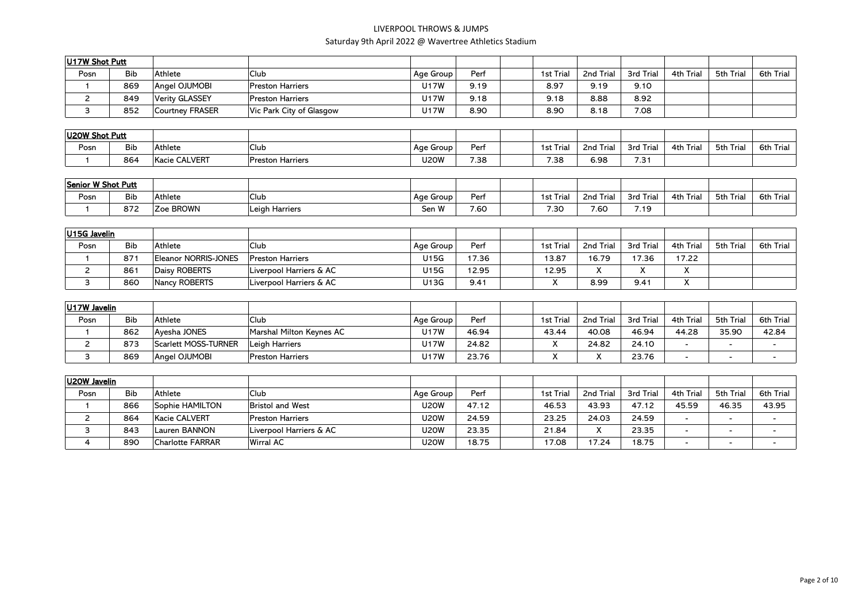| U17W Shot Putt |            |                 |                          |           |      |                  |           |           |           |           |           |
|----------------|------------|-----------------|--------------------------|-----------|------|------------------|-----------|-----------|-----------|-----------|-----------|
| Posn           | <b>Bib</b> | Athlete         | <sup>I</sup> Club        | Age Group | Perf | <b>1st Trial</b> | 2nd Trial | 3rd Trial | 4th Trial | 5th Trial | 6th Trial |
|                | 869        | Angel OJUMOBI   | <b>Preston Harriers</b>  | J17W      | 9.19 | 8.97             | 9.19      | 9.10      |           |           |           |
|                | 849        | Verity GLASSEY  | <b>Preston Harriers</b>  | J17W      | 9.18 | 9.18             | 8.88      | 8.92      |           |           |           |
|                | 852        | Courtnev FRASER | Vic Park City of Glasgow | J17W      | 8.90 | 8.90             | 8.18      | 7.08      |           |           |           |

| U20W Shot Putt |            |                           |                  |           |      |                               |                          |              |              |                      |             |
|----------------|------------|---------------------------|------------------|-----------|------|-------------------------------|--------------------------|--------------|--------------|----------------------|-------------|
| Posn           | <b>Bib</b> | Athlete                   | $\sim$<br>Club   | Age Group | Perf | $\cdot$ $ \cdot$<br>1st Trial | .<br><b>Irial</b><br>2nd | 3rd Trial    | Triaı<br>4th | 5th Tria<br>- I riai | 6th<br>Tria |
|                | 864        | <b>CALVERT</b><br>Kacie ( | Preston Harriers | J20W      | 7.38 | 7.38                          | 6.98                     | 7.24<br>، ت. |              |                      |             |

| Senior W Shot Putt |            |           |                     |                   |      |                       |                           |           |              |           |                  |
|--------------------|------------|-----------|---------------------|-------------------|------|-----------------------|---------------------------|-----------|--------------|-----------|------------------|
| Posn               | <b>Bib</b> | Athlete   | Club                | Age Group         | Perf | <b>Trial</b><br>1st i | <sup>-</sup> Triai<br>2nd | 3rd Trial | Trial<br>4th | 5th Trial | <b>6th Trial</b> |
|                    | 872        | Zoe BROWN | Harriers<br>, Leigh | $\cdots$<br>Sen W | 7.60 | 7.30                  | 7.60                      | 4 O       |              |           |                  |

| U15G Javelin |                 |                      |                         |           |       |                  |                     |       |                           |           |           |
|--------------|-----------------|----------------------|-------------------------|-----------|-------|------------------|---------------------|-------|---------------------------|-----------|-----------|
| Posn         | <b>Bib</b>      | Athlete              | Club                    | Age Group | Per   | <b>1st Trial</b> | 2nd Trial 3rd Trial |       | 4th Trial                 | 5th Trial | 6th Trial |
|              | 87 <sup>°</sup> | Eleanor NORRIS-JONES | <b>Preston Harriers</b> | U15G      | 17.36 | 13.87            | 16.79               | 17.36 | 17.22                     |           |           |
|              | 861             | Daisy ROBERTS        | Liverpool Harriers & AC | U15G      | 12.95 | 12.95            |                     |       | $\mathbf{v}$<br>$\lambda$ |           |           |
|              | 860             | Nancy ROBERTS        | Liverpool Harriers & AC | U13G      | 9.41  |                  | 8.99                | 9.41  | $\cdot$<br>́              |           |           |

| U17W Javelin |            |                      |                          |           |       |                  |           |           |                          |           |           |
|--------------|------------|----------------------|--------------------------|-----------|-------|------------------|-----------|-----------|--------------------------|-----------|-----------|
| Posn         | <b>Bib</b> | Athlete              | Club                     | Age Group | Perf  | <b>1st Trial</b> | 2nd Trial | 3rd Trial | 4th Trial                | 5th Trial | 6th Trial |
|              | 862        | Avesha JONES         | Marshal Milton Kevnes AC | J17W      | 46.94 | 43.44            | 40.08     | 46.94     | 44.28                    | 35.90     | 42.84     |
|              | 873        | Scarlett MOSS-TURNER | Leigh Harriers           | J17W      | 24.82 |                  | 24.82     | 24.10     | -                        |           |           |
|              | 869        | Angel OJUMOBI        | <b>Preston Harriers</b>  | J17W      | 23.76 |                  |           | 23.76     | $\overline{\phantom{0}}$ |           |           |

| U20W Javelin |            |                  |                         |             |       |           |           |           |                          |           |                          |
|--------------|------------|------------------|-------------------------|-------------|-------|-----------|-----------|-----------|--------------------------|-----------|--------------------------|
| Posn         | <b>Bib</b> | Athlete          | 'Club                   | Age Group   | Perf  | 1st Trial | 2nd Trial | 3rd Trial | 4th Trial                | 5th Trial | 6th Trial                |
|              | 866        | Sophie HAMILTON  | <b>Bristol and West</b> | <b>U20W</b> | 47.12 | 46.53     | 43.93     | 47.12     | 45.59                    | 46.35     | 43.95                    |
|              | 864        | Kacie CALVERT    | <b>Preston Harriers</b> | <b>U20W</b> | 24.59 | 23.25     | 24.03     | 24.59     |                          |           |                          |
|              | 843        | Lauren BANNON    | Liverpool Harriers & AC | <b>U20W</b> | 23.35 | 21.84     |           | 23.35     |                          |           |                          |
| 4            | 890        | Charlotte FARRAR | <b>Wirral AC</b>        | U2OW        | 18.75 | 17.08     | 17.24     | 18.75     | $\overline{\phantom{0}}$ |           | $\overline{\phantom{a}}$ |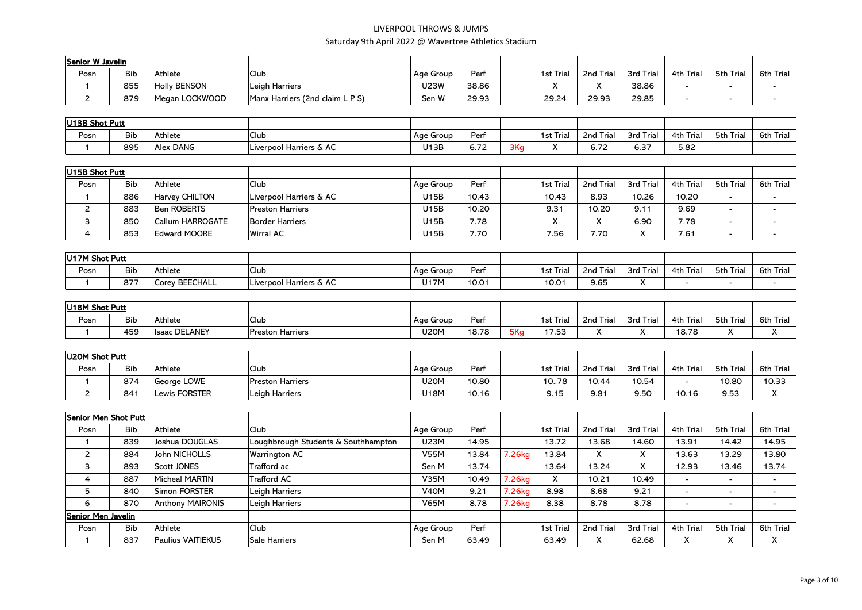| Senior W Javelin |            |                     |                                 |           |       |                  |           |           |           |           |           |
|------------------|------------|---------------------|---------------------------------|-----------|-------|------------------|-----------|-----------|-----------|-----------|-----------|
| Posn             | <b>Bib</b> | Athlete             | 'Club                           | Age Group | Perf  | <b>1st Trial</b> | 2nd Trial | 3rd Trial | 4th Trial | 5th Trial | 6th Trial |
|                  | 855        | <b>Holly BENSON</b> | Leigh Harriers                  | U23W      | 38.86 |                  |           | 38.86     |           |           |           |
|                  | 879        | Megan LOCKWOOD      | Manx Harriers (2nd claim L P S) | Sen W     | 29.93 | 29.24            | 29.93     | 29.85     |           |           |           |

| U13B Shot Putt |            |                  |                         |             |                   |     |                  |                            |           |              |           |              |
|----------------|------------|------------------|-------------------------|-------------|-------------------|-----|------------------|----------------------------|-----------|--------------|-----------|--------------|
| Posn           | <b>Bib</b> | Athlete          | Club                    | Age Group I | Per               |     | <b>1st Trial</b> | ' Trial<br>2 <sub>nd</sub> | 3rd Trial | Trial<br>4th | 5th Trial | Trial<br>6th |
|                | 895        | <b>Alex DANG</b> | Liverpool Harriers & AC | U13B        | $\sim$ 72<br>6.72 | 3Ka |                  | $\sim$ 72<br>0. / 2        | 6.37      | 5.82         |           |              |

| U15B Shot Putt |            |                     |                         |           |       |           |           |           |           |                          |                  |
|----------------|------------|---------------------|-------------------------|-----------|-------|-----------|-----------|-----------|-----------|--------------------------|------------------|
| Posn           | <b>Bib</b> | Athlete             | <b>Club</b>             | Age Group | Perf  | 1st Trial | 2nd Trial | 3rd Trial | 4th Trial | 5th Trial                | <b>6th Trial</b> |
|                | 886        | Harvev CHILTON      | Liverpool Harriers & AC | U15B      | 10.43 | 10.43     | 8.93      | 10.26     | 10.20     | $\overline{\phantom{a}}$ |                  |
|                | 883        | Ben ROBERTS         | <b>Preston Harriers</b> | U15B      | 10.20 | 9.31      | 10.20     | 9.11      | 9.69      | $\overline{\phantom{0}}$ |                  |
|                | 850        | Callum HARROGATE    | Border Harriers         | U15B      | 7.78  | $\cdot$   |           | 6.90      | 7.78      | $\overline{\phantom{0}}$ |                  |
|                | 853        | <b>Edward MOORE</b> | Wirral AC               | U15B      | 7.70  | 7.56      | 7.70      |           | 7.61      | $\overline{\phantom{a}}$ |                  |

| U17M Shot Putt |            |                |                         |             |       |           |                           |           |              |                    |              |
|----------------|------------|----------------|-------------------------|-------------|-------|-----------|---------------------------|-----------|--------------|--------------------|--------------|
| Posn           | <b>Bib</b> | Athlete        | <b>Club</b>             | Age Group   | Per   | 1st Triai | <sup>+</sup> Trial<br>2nd | 3rd Trial | Triaı<br>4th | 5th Tria<br>l rial | 6th<br>Triai |
|                | 877        | Corey BEECHALL | Liverpool Harriers & AC | <b>J17M</b> | 10.01 | 10.01     | 9.65                      |           |              |                    |              |

| U18M Shot Putt |            |                       |                  |             |       |     |          |                      |                  |                      |           |                      |
|----------------|------------|-----------------------|------------------|-------------|-------|-----|----------|----------------------|------------------|----------------------|-----------|----------------------|
| Posn           | <b>Bib</b> | Athlete               | Club             | Age Group   | Perf  |     | 1st Tria | 2nd<br>Tria          | $3rd$ T<br>Iria. | Trial<br>4th         | 5th Trial | $ -$<br>6th<br>Trial |
|                | 459        | <b>Ilsaac DELANEY</b> | Preston Harriers | <b>U20M</b> | 18.78 | 5Ka | 1752<br> | $\ddot{\phantom{0}}$ |                  | <b>4070</b><br>10.70 | $\cdot$   | $\ddot{\phantom{1}}$ |

| U20M Shot Putt |            |               |                         |           |       |           |           |           |           |           |              |
|----------------|------------|---------------|-------------------------|-----------|-------|-----------|-----------|-----------|-----------|-----------|--------------|
| Posn           | <b>Bib</b> | Athlete       | <sup>I</sup> Club       | Age Group | Perf  | 1st Trial | 2nd Trial | 3rd Trial | 4th Trial | 5th Trial | Trial<br>6th |
|                | 874        | George LOWE   | <b>Preston Harriers</b> | U2OM      | 10.80 | 10.78     | 10.44     | 10.54     |           | 10.80     | 10.33        |
|                | 841        | Lewis FORSTER | Leigh Harriers          | J18M      | 10.16 | 9.15      | 9.81      | 9.50      | 10.16     | 9.53      | $\cdots$     |

| Senior Men Shot Putt |            |                          |                                     |                   |       |        |           |           |                   |                          |                          |                          |
|----------------------|------------|--------------------------|-------------------------------------|-------------------|-------|--------|-----------|-----------|-------------------|--------------------------|--------------------------|--------------------------|
| Posn                 | <b>Bib</b> | Athlete                  | <b>Club</b>                         | Age Group         | Perf  |        | 1st Trial | 2nd Trial | 3rd Trial         | 4th Trial                | 5th Trial                | 6th Trial                |
|                      | 839        | Joshua DOUGLAS           | Loughbrough Students & Southhampton | U23M              | 14.95 |        | 13.72     | 13.68     | 14.60             | 13.91                    | 14.42                    | 14.95                    |
| 2                    | 884        | John NICHOLLS            | <b>Warrington AC</b>                | <b>V55M</b>       | 13.84 | .26kg  | 13.84     | X         | $\checkmark$<br>∧ | 13.63                    | 13.29                    | 13.80                    |
|                      | 893        | Scott JONES              | Trafford ac                         | Sen M             | 13.74 |        | 13.64     | 13.24     | v<br>∧            | 12.93                    | 13.46                    | 13.74                    |
| 4                    | 887        | Micheal MARTIN           | <b>Trafford AC</b>                  | <b>V35M</b>       | 10.49 | 7.26kg | x         | 10.21     | 10.49             | $\overline{\phantom{0}}$ | $\overline{\phantom{0}}$ | $\overline{\phantom{0}}$ |
|                      | 840        | Simon FORSTER            | Leigh Harriers                      | V <sub>4</sub> OM | 9.21  | .26kg  | 8.98      | 8.68      | 9.21              | $\overline{\phantom{0}}$ |                          | $\overline{\phantom{0}}$ |
| 6                    | 870        | <b>Anthony MAIRONIS</b>  | Leigh Harriers                      | <b>V65M</b>       | 8.78  | .26kg  | 8.38      | 8.78      | 8.78              | $\overline{\phantom{a}}$ | $\sim$                   | $\overline{\phantom{0}}$ |
| Senior Men Javelin   |            |                          |                                     |                   |       |        |           |           |                   |                          |                          |                          |
| Posn                 | <b>Bib</b> | Athlete                  | <b>Club</b>                         | Age Group         | Perf  |        | 1st Trial | 2nd Trial | 3rd Trial         | 4th Trial                | 5th Trial                | 6th Trial                |
|                      | 837        | <b>Paulius VAITIEKUS</b> | Sale Harriers                       | Sen M             | 63.49 |        | 63.49     | X         | 62.68             | X                        | $\checkmark$<br>^        | X                        |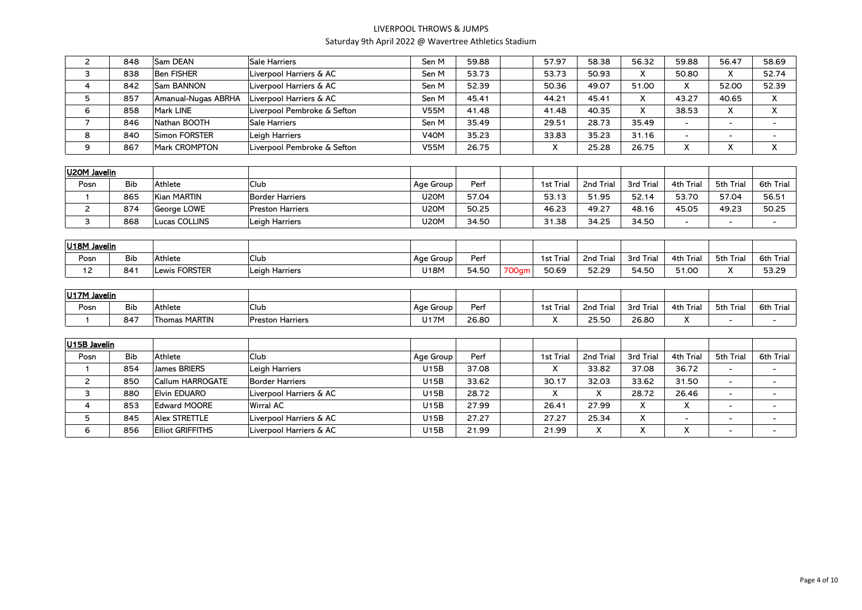| $\overline{2}$ | 848        | Sam DEAN                | Sale Harriers               | Sen M             | 59.88 | 57.97                      |   | 58.38     | 56.32     | 59.88                    | 56.47                    | 58.69                    |
|----------------|------------|-------------------------|-----------------------------|-------------------|-------|----------------------------|---|-----------|-----------|--------------------------|--------------------------|--------------------------|
| 3              | 838        | <b>Ben FISHER</b>       | Liverpool Harriers & AC     | Sen M             | 53.73 | 53.73                      |   | 50.93     | X         | 50.80                    | X                        | 52.74                    |
| 4              | 842        | Sam BANNON              | Liverpool Harriers & AC     | Sen M             | 52.39 | 50.36                      |   | 49.07     | 51.00     | X                        | 52.00                    | 52.39                    |
| 5              | 857        | Amanual-Nugas ABRHA     | Liverpool Harriers & AC     | Sen M             | 45.41 | 44.21                      |   | 45.41     | X         | 43.27                    | 40.65                    | X                        |
| 6              | 858        | Mark LINE               | Liverpool Pembroke & Sefton | <b>V55M</b>       | 41.48 | 41.48                      |   | 40.35     | X         | 38.53                    | X                        | X                        |
| $\overline{7}$ | 846        | Nathan BOOTH            | Sale Harriers               | Sen M             | 35.49 | 29.51                      |   | 28.73     | 35.49     |                          |                          |                          |
| 8              | 840        | Simon FORSTER           | Leigh Harriers              | V <sub>4</sub> OM | 35.23 | 33.83                      |   | 35.23     | 31.16     |                          |                          |                          |
| 9              | 867        | Mark CROMPTON           | Liverpool Pembroke & Sefton | <b>V55M</b>       | 26.75 | X                          |   | 25.28     | 26.75     | X                        | X                        | X                        |
|                |            |                         |                             |                   |       |                            |   |           |           |                          |                          |                          |
| U20M Javelin   |            |                         |                             |                   |       |                            |   |           |           |                          |                          |                          |
| Posn           | <b>Bib</b> | Athlete                 | Club                        | Age Group         | Perf  | 1st Trial                  |   | 2nd Trial | 3rd Trial | 4th Trial                | 5th Trial                | <b>6th Trial</b>         |
| $\mathbf{1}$   | 865        | <b>Kian MARTIN</b>      | <b>Border Harriers</b>      | <b>U20M</b>       | 57.04 | 53.13                      |   | 51.95     | 52.14     | 53.70                    | 57.04                    | 56.51                    |
| $\overline{c}$ | 874        | George LOWE             | <b>Preston Harriers</b>     | <b>U20M</b>       | 50.25 | 46.23                      |   | 49.27     | 48.16     | 45.05                    | 49.23                    | 50.25                    |
| 3              | 868        | Lucas COLLINS           | Leigh Harriers              | <b>U20M</b>       | 34.50 | 31.38                      |   | 34.25     | 34.50     | $\overline{\phantom{a}}$ | $\overline{\phantom{0}}$ | $\blacksquare$           |
|                |            |                         |                             |                   |       |                            |   |           |           |                          |                          |                          |
| U18M Javelin   |            |                         |                             |                   |       |                            |   |           |           |                          |                          |                          |
| Posn           | <b>Bib</b> | Athlete                 | Club                        | Age Group         | Perf  | 1st Trial                  |   | 2nd Trial | 3rd Trial | 4th Trial                | 5th Trial                | <b>6th Trial</b>         |
| 12             | 841        | <b>Lewis FORSTER</b>    | Leigh Harriers              | <b>U18M</b>       | 54.50 | 50.69<br>700 <sub>gm</sub> |   | 52.29     | 54.50     | 51.00                    | X                        | 53.29                    |
|                |            |                         |                             |                   |       |                            |   |           |           |                          |                          |                          |
| U17M Javelin   |            |                         |                             |                   |       |                            |   |           |           |                          |                          |                          |
| Posn           | <b>Bib</b> | Athlete                 | Club                        | Age Group         | Perf  | 1st Trial                  |   | 2nd Trial | 3rd Trial | 4th Trial                | 5th Trial                | 6th Trial                |
| $\mathbf{1}$   | 847        | <b>Thomas MARTIN</b>    | <b>Preston Harriers</b>     | <b>U17M</b>       | 26.80 | X                          |   | 25.50     | 26.80     | X                        |                          |                          |
|                |            |                         |                             |                   |       |                            |   |           |           |                          |                          |                          |
| U15B Javelin   |            |                         |                             |                   |       |                            |   |           |           |                          |                          |                          |
| Posn           | <b>Bib</b> | Athlete                 | <b>Club</b>                 | Age Group         | Perf  | 1st Trial                  |   | 2nd Trial | 3rd Trial | 4th Trial                | 5th Trial                | 6th Trial                |
| $\mathbf{1}$   | 854        | James BRIERS            | Leigh Harriers              | U15B              | 37.08 | X                          |   | 33.82     | 37.08     | 36.72                    |                          | $\blacksquare$           |
| $\overline{c}$ | 850        | Callum HARROGATE        | <b>Border Harriers</b>      | <b>U15B</b>       | 33.62 | 30.17                      |   | 32.03     | 33.62     | 31.50                    | $\overline{\phantom{0}}$ | $\blacksquare$           |
| 3              | 880        | Elvin EDUARO            | Liverpool Harriers & AC     | U15B              | 28.72 |                            | X | X         | 28.72     | 26.46                    | $\blacksquare$           | $\overline{\phantom{a}}$ |
| $\overline{4}$ | 853        | <b>Edward MOORE</b>     | <b>Wirral AC</b>            | <b>U15B</b>       | 27.99 | 26.41                      |   | 27.99     | X         | X                        | $\blacksquare$           | $\blacksquare$           |
| 5              | 845        | Alex STRETTLE           | Liverpool Harriers & AC     | <b>U15B</b>       | 27.27 | 27.27                      |   | 25.34     | X         |                          | $\overline{\phantom{0}}$ | $\blacksquare$           |
| 6              | 856        | <b>Elliot GRIFFITHS</b> | Liverpool Harriers & AC     | <b>U15B</b>       | 21.99 | 21.99                      |   | X         | X         | X                        | $\overline{\phantom{0}}$ | $\overline{\phantom{a}}$ |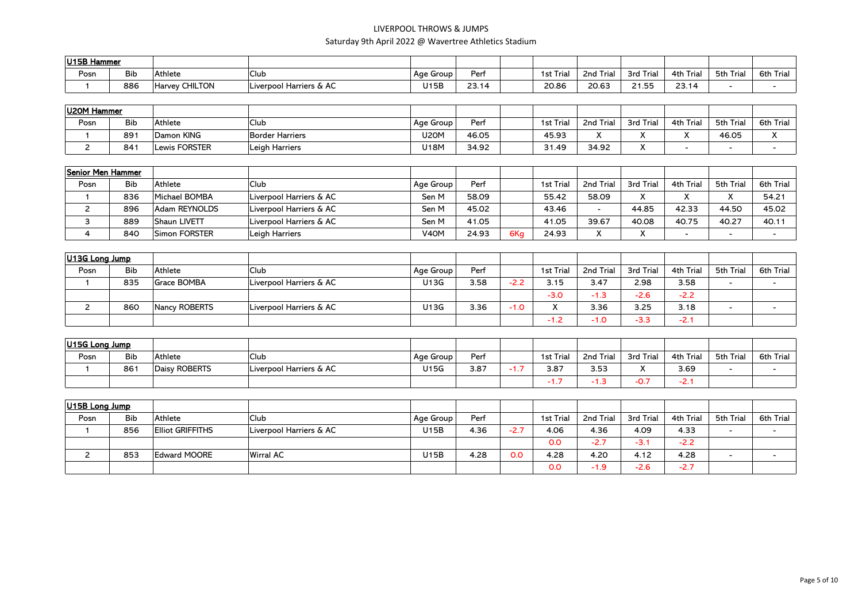| U15B Hammer |            |                              |                         |           |       |           |              |                           |                      |           |              |
|-------------|------------|------------------------------|-------------------------|-----------|-------|-----------|--------------|---------------------------|----------------------|-----------|--------------|
| Posn        | <b>Bib</b> | Athlete                      | <sup>I</sup> Club       | Age Group | Per   | 1st Trial | 2nd<br>Tria. | 3rd Tri<br>l rial         | Trial<br>4th         | 5th Trial | Trial<br>6th |
|             | 886        | <b>CHILTON</b><br>Harvey CH. | Liverpool Harriers & AC | U15B      | 23.14 | 20.86     | 20.63        | $\sim$ $\sim$ $\sim$<br>. | 22.11<br>.<br>$\sim$ |           |              |

| U20M Hammer |            |                      |                   |           |       |           |           |           |              |           |              |
|-------------|------------|----------------------|-------------------|-----------|-------|-----------|-----------|-----------|--------------|-----------|--------------|
| Posn        | <b>Bib</b> | Athlete              | <sup>I</sup> Club | Age Group | Per   | 1st Trial | 2nd Trial | 3rd Trial | 4th Trial    | 5th Trial | 6th<br>Trial |
|             | 891        | Damon KING           | Border Harriers   | U20M      | 46.05 | 45.93     |           |           | $\cdot$<br>↗ | 46.05     | $\lambda$    |
|             | 841        | <b>Lewis FORSTER</b> | Leigh Harriers    | J18M      | 34.92 | 31.49     | 34.92     |           |              |           |              |

| Senior Men Hammer |            |               |                         |                   |       |     |           |                          |              |                               |              |           |
|-------------------|------------|---------------|-------------------------|-------------------|-------|-----|-----------|--------------------------|--------------|-------------------------------|--------------|-----------|
| Posn              | <b>Bib</b> | Athlete       | <b>Club</b>             | Age Group         | Perf  |     | 1st Trial | 2nd Trial                | 3rd Trial    | 4th Trial                     | 5th Trial    | 6th Trial |
|                   | 836        | Michael BOMBA | Liverpool Harriers & AC | Sen M             | 58.09 |     | 55.42     | 58.09                    |              | $\overline{\phantom{a}}$<br>́ | $\mathbf{v}$ | 54.21     |
|                   | 896        | Adam REYNOLDS | Liverpool Harriers & AC | Sen M             | 45.02 |     | 43.46     | $\overline{\phantom{a}}$ | 44.85        | 42.33                         | 44.50        | 45.02     |
|                   | 889        | Shaun LIVETT  | Liverpool Harriers & AC | Sen M             | 41.05 |     | 41.05     | 39.67                    | 40.08        | 40.75                         | 40.27        | 40.1      |
|                   | 840        | Simon FORSTER | Leigh Harriers          | V <sub>4</sub> OM | 24.93 | 6Kg | 24.93     | $\mathbf{v}$             | $\mathbf{v}$ |                               |              |           |

| U13G Long Jump |            |                    |                         |           |      |        |             |           |           |           |                          |                          |
|----------------|------------|--------------------|-------------------------|-----------|------|--------|-------------|-----------|-----------|-----------|--------------------------|--------------------------|
| Posn           | <b>Bib</b> | Athlete            | <b>Club</b>             | Age Group | Perf |        | 1st Trial   | 2nd Trial | 3rd Trial | 4th Trial | 5th Trial                | 6th Trial                |
|                | 835        | <b>Grace BOMBA</b> | Liverpool Harriers & AC | U13G      | 3.58 | $-2.2$ | 3.15        | 3.47      | 2.98      | 3.58      | $\overline{\phantom{a}}$ | $\overline{\phantom{0}}$ |
|                |            |                    |                         |           |      |        | $-3.0$      | $-1.3$    | $-2.6$    | $-2.2$    |                          |                          |
|                | 860        | Nancy ROBERTS      | Liverpool Harriers & AC | U13G      | 3.36 | $-1.0$ | $\mathbf v$ | 3.36      | 3.25      | 3.18      |                          | $\overline{\phantom{a}}$ |
|                |            |                    |                         |           |      |        | $-1.2$      | $-1.0$    | $-3.3$    | $-2.1$    |                          |                          |

| $ U15G $ Long Jump |            |               |                         |           |      |           |          |                      |              |           |           |
|--------------------|------------|---------------|-------------------------|-----------|------|-----------|----------|----------------------|--------------|-----------|-----------|
| Posn               | <b>Bib</b> | Athlete       | <sup>I</sup> Club       | Age Group | Perf | 1st Trial | 2nd Tria | 3rd Trial            | Trial<br>4th | 5th Trial | 6th Trial |
|                    | $86 -$     | Daisy ROBERTS | Liverpool Harriers & AC | U15G      | 3.87 | 3.87      | 3.53     | $\ddot{\phantom{0}}$ | 3.69         |           |           |
|                    |            |               |                         |           |      | .         | ا ت. ا - | -0.1                 | -2. .        |           |           |

| $ U15B $ Long Jump |            |                         |                         |           |      |        |           |           |           |           |                          |           |
|--------------------|------------|-------------------------|-------------------------|-----------|------|--------|-----------|-----------|-----------|-----------|--------------------------|-----------|
| Posn               | <b>Bib</b> | Athlete                 | Club                    | Age Group | Perf |        | 1st Trial | 2nd Trial | 3rd Trial | 4th Trial | 5th Trial                | 6th Trial |
|                    | 856        | <b>Elliot GRIFFITHS</b> | Liverpool Harriers & AC | U15B      | 4.36 | $-2.7$ | 4.06      | 4.36      | 4.09      | 4.33      | $\overline{\phantom{0}}$ |           |
|                    |            |                         |                         |           |      |        | 0.0       | $-2.7$    | $-3.$     | $-2.2$    |                          |           |
|                    | 853        | Edward MOORE            | <b>Wirral AC</b>        | U15B      | 4.28 | 0.0    | 4.28      | 4.20      | 4.12      | 4.28      | $\overline{\phantom{0}}$ |           |
|                    |            |                         |                         |           |      |        | 0.0       | $-1.9$    | $-2.6$    | $-2.7$    |                          |           |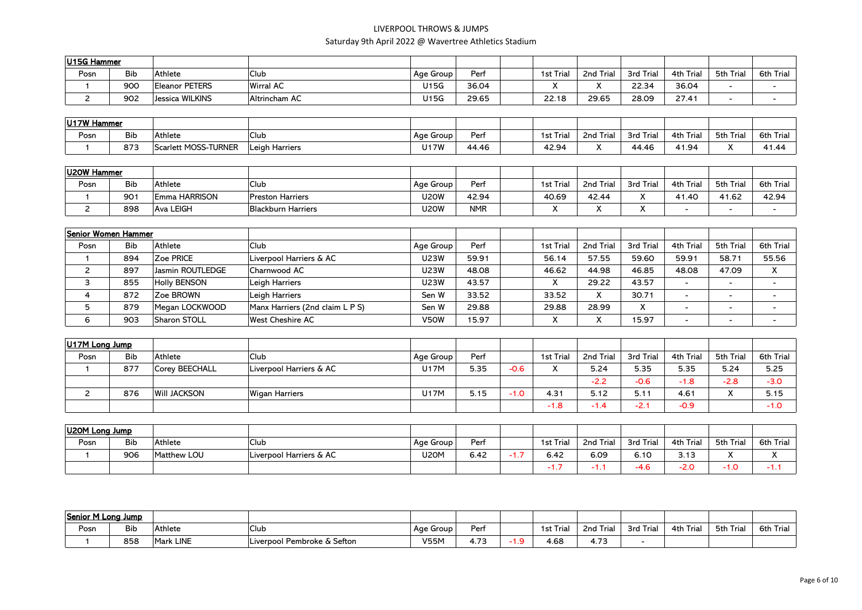| U15G Hammer |            |                       |                   |           |       |           |                      |           |              |           |           |
|-------------|------------|-----------------------|-------------------|-----------|-------|-----------|----------------------|-----------|--------------|-----------|-----------|
| Posn        | <b>Bib</b> | Athlete               | <sup>I</sup> Club | Age Group | Perf  | 1st Trial | 2nd Trial            | 3rd Trial | Trial<br>4th | 5th Trial | 6th Trial |
|             | <b>900</b> | <b>Eleanor PETERS</b> | Wirral AC         | J15G      | 36.04 |           | $\cdot$<br>$\lambda$ | 22.34     | 36.04        |           |           |
|             | 902        | Jessica WILKINS       | Altrincham AC     | J15G      | 29.65 | 22.18     | 29.65                | 28.09     | 27.41        |           |           |

| U17W Hammer |            |                      |                |             |       |           |                            |           |              |           |                    |
|-------------|------------|----------------------|----------------|-------------|-------|-----------|----------------------------|-----------|--------------|-----------|--------------------|
| Posn        | <b>Bib</b> | Athlete              | <b>Club</b>    | Age Group   | Perf  | 1st Trial | ' Trial<br>2 <sub>nd</sub> | 3rd Trial | Trial<br>4th | 5th Trial | 6th<br>Trial       |
|             | 873        | Scarlett MOSS-TURNER | Leigh Harriers | <b>J17W</b> | 44.46 | 42.94     | $\cdot$                    | 44.46     | 1.94<br>∸ '  | $\cdot$   | <b>I</b><br>.<br>. |

| U20W Hammer |                 |                      |                           |           |            |                      |                      |                      |           |           |           |
|-------------|-----------------|----------------------|---------------------------|-----------|------------|----------------------|----------------------|----------------------|-----------|-----------|-----------|
| Posn        | <b>Bib</b>      | Athlete              | <sup>I</sup> Club         | Age Group | Perf       | 1st Trial            | 2nd Trial            | 3rd Trial            | 4th Trial | 5th Trial | 6th Trial |
|             | 90 <sub>1</sub> | <b>Emma HARRISON</b> | <b>Preston Harriers</b>   | J20W      | 42.94      | 40.69                | 42.44                | $\ddot{\phantom{0}}$ | $-1.40$   | 41.62     | 42.94     |
|             | 898             | <b>Ava LEIGH</b>     | <b>Blackburn Harriers</b> | U2OW      | <b>NMR</b> | $\ddot{\phantom{1}}$ | $\ddot{\phantom{a}}$ | $\mathbf{v}$         |           |           |           |

| Senior Women Hammer |            |                     |                                 |             |       |              |              |              |                          |                          |                          |
|---------------------|------------|---------------------|---------------------------------|-------------|-------|--------------|--------------|--------------|--------------------------|--------------------------|--------------------------|
| Posn                | <b>Bib</b> | Athlete             | Club                            | Age Group   | Perf  | 1st Trial    | 2nd Trial    | 3rd Trial    | 4th Trial                | 5th Trial                | 6th Trial                |
|                     | 894        | Zoe PRICE           | Liverpool Harriers & AC         | <b>J23W</b> | 59.91 | 56.14        | 57.55        | 59.60        | 59.91                    | 58.71                    | 55.56                    |
|                     | 897        | Jasmin ROUTLEDGE    | Charnwood AC                    | <b>J23W</b> | 48.08 | 46.62        | 44.98        | 46.85        | 48.08                    | 47.09                    | X                        |
|                     | 855        | <b>Holly BENSON</b> | Leigh Harriers                  | <b>J23W</b> | 43.57 |              | 29.22        | 43.57        |                          |                          |                          |
|                     | 872        | Zoe BROWN           | Leigh Harriers                  | Sen W       | 33.52 | 33.52        | x            | 30.71        |                          |                          |                          |
|                     | 879        | Megan LOCKWOOD      | Manx Harriers (2nd claim L P S) | Sen W       | 29.88 | 29.88        | 28.99        | $\checkmark$ | $\overline{\phantom{a}}$ |                          |                          |
| 6                   | 903        | Sharon STOLL        | <b>West Cheshire AC</b>         | V50W        | 15.97 | $\mathbf{v}$ | $\mathbf{v}$ | 15.97        | $\overline{\phantom{a}}$ | $\overline{\phantom{a}}$ | $\overline{\phantom{a}}$ |

| $ U17M$ Long Jump |            |                     |                         |           |      |        |                        |           |           |           |             |           |
|-------------------|------------|---------------------|-------------------------|-----------|------|--------|------------------------|-----------|-----------|-----------|-------------|-----------|
| Posn              | <b>Bib</b> | Athlete             | Club                    | Age Group | Perf |        | 1st Trial              | 2nd Trial | 3rd Trial | 4th Trial | 5th Trial   | 6th Trial |
|                   | 877        | Corey BEECHALL      | Liverpool Harriers & AC | U17M      | 5.35 | $-0.6$ | $\lambda$<br>$\lambda$ | 5.24      | 5.35      | 5.35      | 5.24        | 5.25      |
|                   |            |                     |                         |           |      |        |                        | $-2.2$    | $-0.6$    | $-1.8$    | $-2.8$      | $-3.0$    |
|                   | 876        | <b>WIII JACKSON</b> | <b>Wigan Harriers</b>   | U17M      | 5.15 | 4.0    | 4.31                   | 5.12      | 5.11      | 4.61      | $\mathbf v$ | 5.15      |
|                   |            |                     |                         |           |      |        | $-1.8$                 | -1.4      | $-2.1$    | $-0.9$    |             | $-1.0$    |

| U20M Long Jump |            |             |                         |             |      |          |           |                                       |                |               |               |                                  |
|----------------|------------|-------------|-------------------------|-------------|------|----------|-----------|---------------------------------------|----------------|---------------|---------------|----------------------------------|
| Posn           | <b>Bib</b> | Athlete     | <b>Club</b>             | Age Group   | Perf |          | 1st Trial | <sup>+</sup> Trial<br>2 <sub>nd</sub> | 3rd Trial      | Trial<br>4th  | 5th Trial     | 6th Trial                        |
|                | 906        | Matthew LOU | Liverpool Harriers & AC | <b>U20M</b> | 6.42 | $\cdots$ | 6.42      | 6.09                                  | 6.10           | 212<br>ں ا اب | $\cdot$<br>,, | $\ddot{\phantom{0}}$<br>$\cdots$ |
|                |            |             |                         |             |      |          |           |                                       | $\sim$<br>-4.6 | $-2.0$        | $-1.0$        | . .                              |

| Senior M Long Jump |            |           |                             |             |     |          |                                    |           |           |           |          |
|--------------------|------------|-----------|-----------------------------|-------------|-----|----------|------------------------------------|-----------|-----------|-----------|----------|
| Posn               | <b>Bib</b> | Athlete   | 'Club                       | Age Group I | Per | 1st Tria | 2nd Trial                          | 3rd Trial | 4th Trial | 5th Trial | 6th Tria |
|                    | 858        | Mark LINE | Liverpool Pembroke & Sefton | V55M        | $-$ | 4.68     | $\overline{\phantom{a}}$<br>T. / J |           |           |           |          |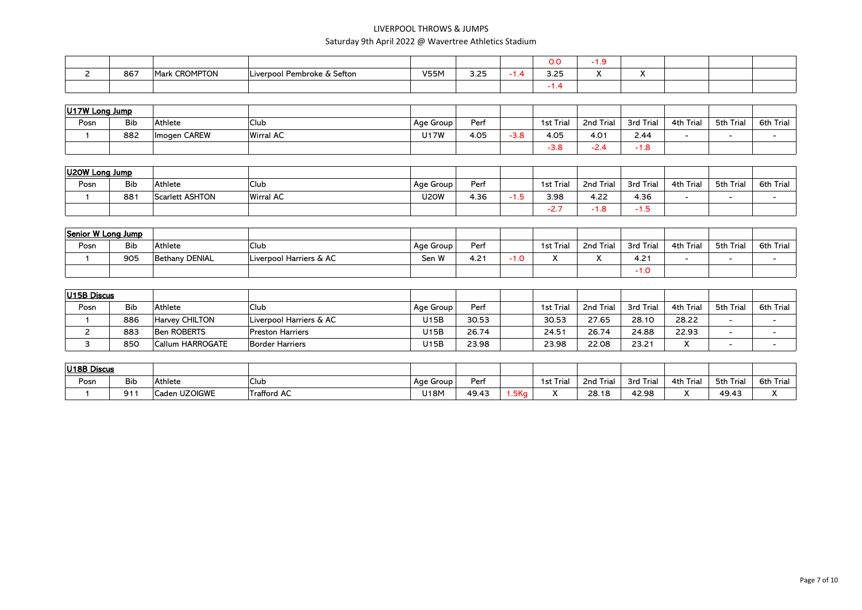|     |                         |                                         |             |      |   | 0.0         |  |  |  |
|-----|-------------------------|-----------------------------------------|-------------|------|---|-------------|--|--|--|
| 867 | <b>CROMPTON</b><br>Mark | I Pembroke & Sefton<br><b>Liverpool</b> | <b>V55M</b> | 3.25 | . | マ つら<br>--- |  |  |  |
|     |                         |                                         |             |      |   | . .         |  |  |  |

| $ U17W$ Long Jump |            |              |                   |           |      |        |           |                                 |           |           |           |           |
|-------------------|------------|--------------|-------------------|-----------|------|--------|-----------|---------------------------------|-----------|-----------|-----------|-----------|
| Posn              | <b>Bib</b> | Athlete      | <sup>'</sup> Club | Age Group | Per  |        | 1st Trial | 2nd Trial                       | 3rd Trial | 4th Trial | 5th Trial | 6th Trial |
|                   | 882        | Imogen CAREW | Wirral AC         | J17W      | 4.05 | $-3.8$ | 4.05      | $4.0^{+}$                       | 2.44      |           |           |           |
|                   |            |              |                   |           |      |        | $-3.8$    | $\overline{\phantom{0}}$<br>-47 | -1.0      |           |           |           |

| U20W Long Jump |     |                        |                   |           |      |      |             |           |           |           |           |           |
|----------------|-----|------------------------|-------------------|-----------|------|------|-------------|-----------|-----------|-----------|-----------|-----------|
| Posn           | Bib | Athlete                | <sup>I</sup> Club | Age Group | Perf |      | 1st Trial   | 2nd Trial | 3rd Trial | 4th Trial | 5th Trial | 6th Trial |
|                | 881 | <b>Scarlett ASHTON</b> | <b>Wirral AC</b>  | J20W      | 4.36 | -1.5 | 3.98        | 4.22      | 4.36      |           |           |           |
|                |     |                        |                   |           |      |      | - -<br>-2., | - 1.0     | - 1.0     |           |           |           |

| Senior W Long Jump |            |                |                         |           |         |      |           |                      |           |              |           |           |
|--------------------|------------|----------------|-------------------------|-----------|---------|------|-----------|----------------------|-----------|--------------|-----------|-----------|
| Posn               | <b>Bib</b> | Athlete        | .Club                   | Age Group | Perf    |      | 1st Trial | 2nd Trial            | 3rd Trial | Trial<br>4th | 5th Trial | 6th Trial |
|                    | 905        | Bethany DENIAL | Liverpool Harriers & AC | Sen W     | $4.2 +$ | 0. I | $\cdot$   | $\cdot$<br>$\lambda$ | $4.2^{+}$ |              |           |           |
|                    |            |                |                         |           |         |      |           |                      | .v        |              |           |           |

| U15B Discus |            |                  |                         |           |       |           |           |           |                      |           |           |
|-------------|------------|------------------|-------------------------|-----------|-------|-----------|-----------|-----------|----------------------|-----------|-----------|
| Posn        | <b>Bib</b> | Athlete          | <sup>I</sup> Club       | Age Group | Perf  | 1st Trial | 2nd Trial | 3rd Trial | Trial<br>4th         | 5th Trial | 6th Trial |
|             | 886        | Harvey CHILTON   | Liverpool Harriers & AC | U15B      | 30.53 | 30.53     | 27.65     | 28.10     | 28.22                |           |           |
|             | 883        | Ben ROBERTS      | <b>Preston Harriers</b> | U15B      | 26.74 | 24.51     | 26.74     | 24.88     | 22.93                |           |           |
|             | <b>850</b> | Callum HARROGATE | <b>Border Harriers</b>  | U15B      | 23.98 | 23.98     | 22.08     | 23.21     | $\cdot$<br>$\lambda$ |           |           |

| U18B Discus |            |               |                    |             |       |     |                          |                |           |              |           |                           |
|-------------|------------|---------------|--------------------|-------------|-------|-----|--------------------------|----------------|-----------|--------------|-----------|---------------------------|
| Posn        | <b>Bib</b> | Athlete       | <sup>I</sup> Club  | Age Group I | Perf  |     | <b>1st Trial</b>         | ' Triai<br>2nd | 3rd Trial | Trial<br>4th | 5th Trial | Trial<br>6th              |
|             | 91.        | Caden UZOIGWE | <b>Trafford AC</b> | U18M        | 49.43 | 5Kg | $\overline{\phantom{a}}$ | 28.18          | 42.98     | $\lambda$    | 49.43     | $\ddot{\phantom{0}}$<br>" |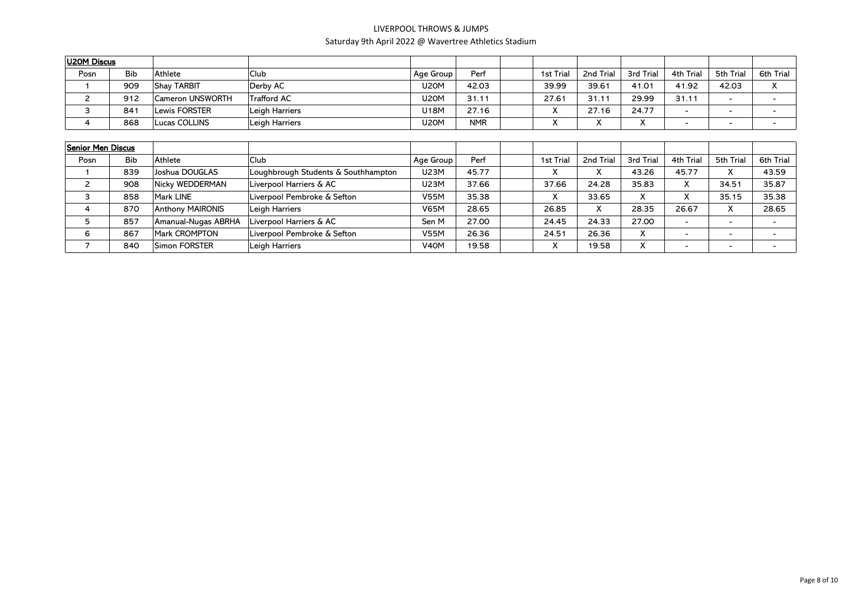| U20M Discus       |            |                         |                                     |                   |            |                  |           |           |                          |                          |                  |
|-------------------|------------|-------------------------|-------------------------------------|-------------------|------------|------------------|-----------|-----------|--------------------------|--------------------------|------------------|
| Posn              | <b>Bib</b> | Athlete                 | <b>Club</b>                         | Age Group         | Perf       | <b>1st Trial</b> | 2nd Trial | 3rd Trial | 4th Trial                | 5th Trial                | <b>6th Trial</b> |
|                   | 909        | <b>Shay TARBIT</b>      | Derby AC                            | <b>U20M</b>       | 42.03      | 39.99            | 39.61     | 41.01     | 41.92                    | 42.03                    | X                |
| $\overline{2}$    | 912        | Cameron UNSWORTH        | <b>Trafford AC</b>                  | <b>U20M</b>       | 31.11      | 27.61            | 31.11     | 29.99     | 31.11                    | $\sim$                   | $\blacksquare$   |
| 3                 | 841        | <b>Lewis FORSTER</b>    | Leigh Harriers                      | U18M              | 27.16      | X                | 27.16     | 24.77     | $\overline{\phantom{0}}$ | $\overline{\phantom{0}}$ | $\blacksquare$   |
| 4                 | 868        | Lucas COLLINS           | Leigh Harriers                      | <b>U20M</b>       | <b>NMR</b> | X                | X         | x         | $\blacksquare$           | $\blacksquare$           | $\blacksquare$   |
|                   |            |                         |                                     |                   |            |                  |           |           |                          |                          |                  |
| Senior Men Discus |            |                         |                                     |                   |            |                  |           |           |                          |                          |                  |
| Posn              | <b>Bib</b> | Athlete                 | <b>Club</b>                         | Age Group         | Perf       | 1st Trial        | 2nd Trial | 3rd Trial | 4th Trial                | 5th Trial                | <b>6th Trial</b> |
|                   | 839        | Joshua DOUGLAS          | Loughbrough Students & Southhampton | U23M              | 45.77      | X                | X         | 43.26     | 45.77                    | X                        | 43.59            |
| $\overline{2}$    | 908        | Nicky WEDDERMAN         | Liverpool Harriers & AC             | <b>U23M</b>       | 37.66      | 37.66            | 24.28     | 35.83     | X                        | 34.51                    | 35.87            |
| 3                 | 858        | Mark LINE               | Liverpool Pembroke & Sefton         | <b>V55M</b>       | 35.38      | X                | 33.65     | x         | x                        | 35.15                    | 35.38            |
| 4                 | 870        | <b>Anthony MAIRONIS</b> | Leigh Harriers                      | <b>V65M</b>       | 28.65      | 26.85            | X         | 28.35     | 26.67                    | X                        | 28.65            |
| 5                 | 857        | Amanual-Nugas ABRHA     | Liverpool Harriers & AC             | Sen M             | 27.00      | 24.45            | 24.33     | 27.00     | $\blacksquare$           | $\blacksquare$           | $\blacksquare$   |
| 6                 | 867        | Mark CROMPTON           | Liverpool Pembroke & Sefton         | <b>V55M</b>       | 26.36      | 24.51            | 26.36     | X.        | $\blacksquare$           | $\blacksquare$           | $\blacksquare$   |
|                   | 840        | Simon FORSTER           | Leigh Harriers                      | V <sub>4</sub> OM | 19.58      | X                | 19.58     | x         | $\blacksquare$           | $\blacksquare$           | $\blacksquare$   |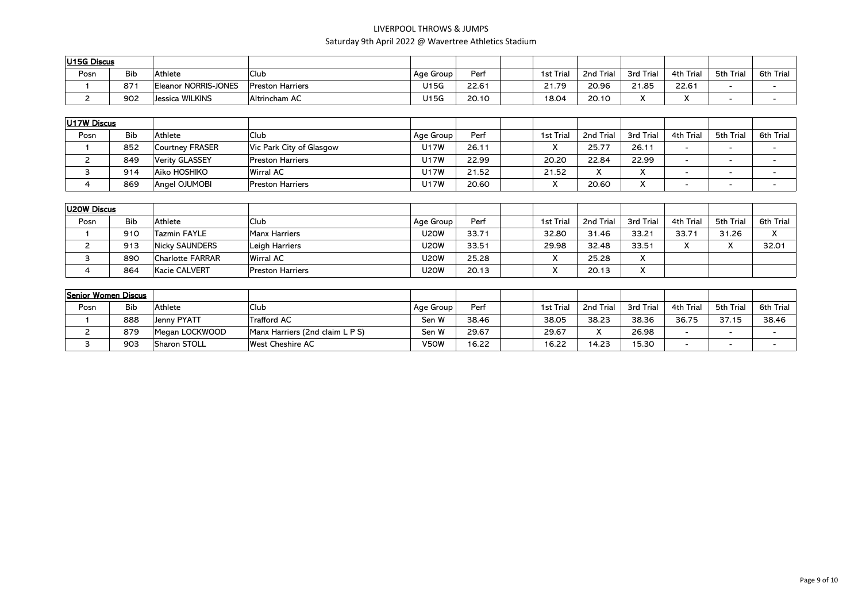| U15G Discus |            |                      |                         |           |       |                  |           |           |              |           |              |
|-------------|------------|----------------------|-------------------------|-----------|-------|------------------|-----------|-----------|--------------|-----------|--------------|
| Posn        | <b>Bib</b> | Athlete              | <b>Club</b>             | Age Group | Perf  | <b>1st Trial</b> | 2nd Trial | 3rd Trial | Trial<br>4th | 5th Trial | Trial<br>6th |
|             | 871        | Eleanor NORRIS-JONES | <b>Preston Harriers</b> | J15G      | 22.61 | 21.79            | 20.96     | 21.85     | 22.61        |           |              |
|             | 902        | Jessica WILKINS      | Altrincham AC           | U15G      | 20.10 | 18.04            | 20.10     |           | $\cdots$     |           |              |

| U17W Discus |            |                        |                          |           |       |              |                           |           |              |           |           |
|-------------|------------|------------------------|--------------------------|-----------|-------|--------------|---------------------------|-----------|--------------|-----------|-----------|
| Posn        | <b>Bib</b> | Athlete                | <b>Club</b>              | Age Group | Perf  | 1st Trial    | 2nd Trial                 | 3rd Trial | Trial<br>4th | 5th Trial | 6th Trial |
|             | 852        | <b>Courtney FRASER</b> | Vic Park City of Glasgow | J17W      | 26.11 | $\mathbf{v}$ | 25.77                     | 26.11     |              |           |           |
|             | 849        | Verity GLASSEY         | <b>Preston Harriers</b>  | U17W      | 22.99 | 20.20        | 22.84                     | 22.99     | -            |           |           |
|             | 914        | Aiko HOSHIKO           | Wirral AC                | J17W      | 21.52 | 21.52        | $\mathbf{v}$<br>$\lambda$ |           | -            |           |           |
|             | 869        | Angel OJUMOBI          | <b>Preston Harriers</b>  | J17W      | 20.60 | $\mathbf{v}$ | 20.60                     |           |              |           |           |

| U20W Discus |            |                         |                         |             |       |           |           |                           |                   |                           |           |
|-------------|------------|-------------------------|-------------------------|-------------|-------|-----------|-----------|---------------------------|-------------------|---------------------------|-----------|
| Posn        | <b>Bib</b> | Athlete                 | <b>Club</b>             | Age Group   | Perf  | 1st Trial | 2nd Trial | 3rd Trial                 | 4th Trial         | 5th Trial                 | 6th Trial |
|             | 910        | Tazmin FAYLE            | Manx Harriers           | <b>U20W</b> | 33.71 | 32.80     | 31.46     | 33.21                     | 33.71             | 31.26                     |           |
| <u>.</u>    | 913        | <b>Nicky SAUNDERS</b>   | Leigh Harriers          | <b>U20W</b> | 33.51 | 29.98     | 32.48     | 33.51                     | $\mathbf{v}$<br>Λ | $\mathbf{v}$<br>$\lambda$ | 32.01     |
|             | 890        | <b>Charlotte FARRAR</b> | Wirral AC               | U2OW        | 25.28 |           | 25.28     | $\checkmark$<br>$\lambda$ |                   |                           |           |
|             | 864        | Kacie CALVERT           | <b>Preston Harriers</b> | U2OW        | 20.13 |           | 20.13     | $\mathbf{v}$              |                   |                           |           |

| Senior Women Discus |            |                |                                 |           |       |                  |           |           |           |           |                          |
|---------------------|------------|----------------|---------------------------------|-----------|-------|------------------|-----------|-----------|-----------|-----------|--------------------------|
| Posn                | <b>Bib</b> | Athlete        | Club                            | Age Group | Perf  | <b>1st Trial</b> | 2nd Trial | 3rd Trial | 4th Trial | 5th Trial | 6th Trial                |
|                     | 888        | Jenny PYATT    | 'Trafford AC                    | Sen W     | 38.46 | 38.05            | 38.23     | 38.36     | 36.75     | 37.15     | 38.46                    |
|                     | 879        | Megan LOCKWOOD | Manx Harriers (2nd claim L P S) | Sen W     | 29.67 | 29.67            | $\lambda$ | 26.98     |           |           | $\overline{\phantom{a}}$ |
|                     | 903        | Sharon STOLL   | <b>West Cheshire AC</b>         | V50W      | 16.22 | 16.22            | 14.23     | 15.30     |           |           | $\overline{\phantom{a}}$ |